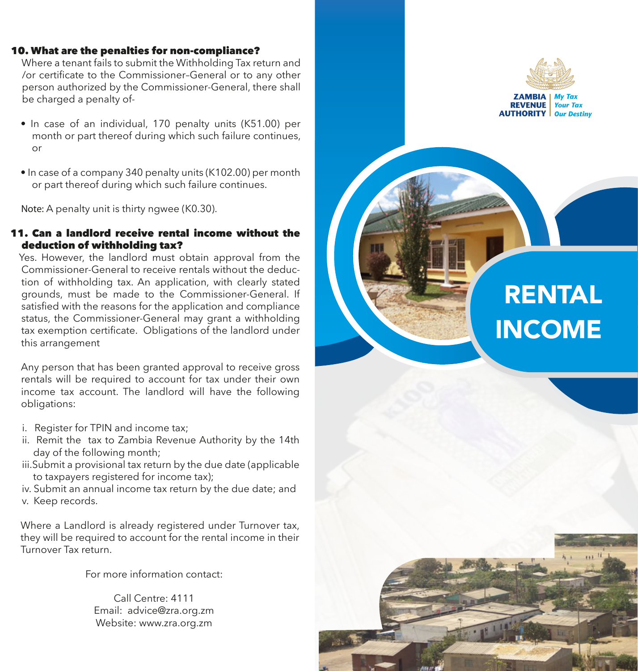#### 10. What are the penalties for non-compliance?

 Where a tenant fails to submit the Withholding Tax return and /or certificate to the Commissioner–General or to any other person authorized by the Commissioner-General, there shall be charged a penalty of-

- In case of an individual, 170 penalty units (K51.00) per month or part thereof during which such failure continues,  $\alpha$ r
- In case of a company 340 penalty units (K102.00) per month or part thereof during which such failure continues.

 **Note:** A penalty unit is thirty ngwee (K0.30).

## 11. Can a landlord receive rental income without the deduction of withholding tax?

 Yes. However, the landlord must obtain approval from the Commissioner-General to receive rentals without the deduc tion of withholding tax. An application, with clearly stated grounds, must be made to the Commissioner-General. If satisfied with the reasons for the application and compliance status, the Commissioner-General may grant a withholding tax exemption certificate. Obligations of the landlord under this arrangement

 Any person that has been granted approval to receive gross rentals will be required to account for tax under their own income tax account. The landlord will have the following obligations:

- i. Register for TPIN and income tax;
- ii. Remit the tax to Zambia Revenue Authority by the 14th day of the following month;
- iii.Submit a provisional tax return by the due date (applicable to taxpayers registered for income tax);
- iv. Submit an annual income tax return by the due date; and v. Keep records.

Where a Landlord is already registered under Turnover tax, they will be required to account for the rental income in their Turnover Tax return.

For more information contact:

Call Centre: 4111 Email: advice@zra.org.zm Website: www.zra.org.zm



**ZAMBIA I REVENUE** Your Tax **AUTHORITY** Our Destiny

# RENTAL INCOME